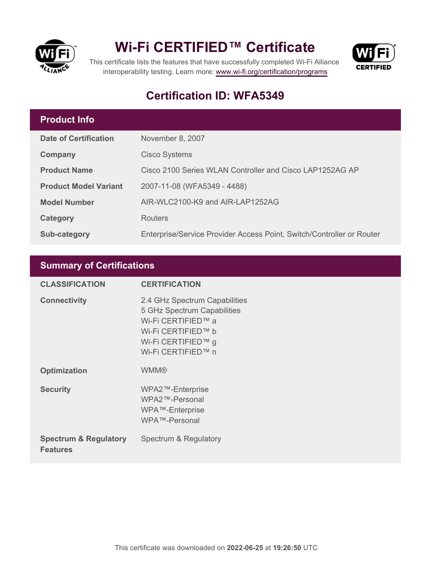

## **Wi-Fi CERTIFIED™ Certificate**



This certificate lists the features that have successfully completed Wi-Fi Alliance interoperability testing. Learn more:<www.wi-fi.org/certification/programs>

### **Certification ID: WFA5349**

#### **Product Info**

| <b>Date of Certification</b> | November 8, 2007                                                      |
|------------------------------|-----------------------------------------------------------------------|
| Company                      | <b>Cisco Systems</b>                                                  |
| <b>Product Name</b>          | Cisco 2100 Series WLAN Controller and Cisco LAP1252AG AP              |
| <b>Product Model Variant</b> | 2007-11-08 (WFA5349 - 4488)                                           |
| <b>Model Number</b>          | AIR-WLC2100-K9 and AIR-LAP1252AG                                      |
| Category                     | <b>Routers</b>                                                        |
| Sub-category                 | Enterprise/Service Provider Access Point, Switch/Controller or Router |

#### **Summary of Certifications**

| <b>CLASSIFICATION</b>                               | <b>CERTIFICATION</b>                                                                                                                                 |
|-----------------------------------------------------|------------------------------------------------------------------------------------------------------------------------------------------------------|
| <b>Connectivity</b>                                 | 2.4 GHz Spectrum Capabilities<br>5 GHz Spectrum Capabilities<br>Wi-Fi CERTIFIED™ a<br>Wi-Fi CERTIFIED™ b<br>Wi-Fi CERTIFIED™ g<br>Wi-Fi CERTIFIED™ n |
| <b>Optimization</b>                                 | <b>WMM®</b>                                                                                                                                          |
| <b>Security</b>                                     | WPA2™-Enterprise<br>WPA2™-Personal<br>WPA™-Enterprise<br>WPA™-Personal                                                                               |
| <b>Spectrum &amp; Regulatory</b><br><b>Features</b> | Spectrum & Regulatory                                                                                                                                |